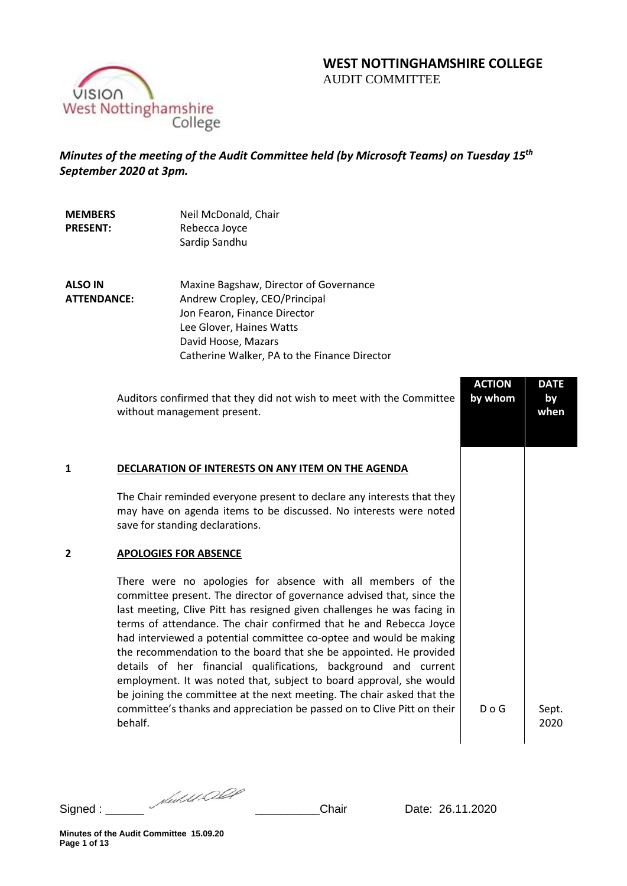# **WEST NOTTINGHAMSHIRE COLLEGE**  AUDIT COMMITTEE

VISION<br>West Nottinghamshire<br>College

# *Minutes of the meeting of the Audit Committee held (by Microsoft Teams) on Tuesday 15th September 2020 at 3pm.*

| <b>MEMBERS</b><br><b>PRESENT:</b>    | Neil McDonald, Chair<br>Rebecca Joyce<br>Sardip Sandhu                                                                                                                                                                                                                                                                                                                                                                                                                                                                                                                                                                                                                                                                                                                      |                          |                           |
|--------------------------------------|-----------------------------------------------------------------------------------------------------------------------------------------------------------------------------------------------------------------------------------------------------------------------------------------------------------------------------------------------------------------------------------------------------------------------------------------------------------------------------------------------------------------------------------------------------------------------------------------------------------------------------------------------------------------------------------------------------------------------------------------------------------------------------|--------------------------|---------------------------|
| <b>ALSO IN</b><br><b>ATTENDANCE:</b> | Maxine Bagshaw, Director of Governance<br>Andrew Cropley, CEO/Principal<br>Jon Fearon, Finance Director<br>Lee Glover, Haines Watts<br>David Hoose, Mazars<br>Catherine Walker, PA to the Finance Director                                                                                                                                                                                                                                                                                                                                                                                                                                                                                                                                                                  |                          |                           |
|                                      | Auditors confirmed that they did not wish to meet with the Committee<br>without management present.                                                                                                                                                                                                                                                                                                                                                                                                                                                                                                                                                                                                                                                                         | <b>ACTION</b><br>by whom | <b>DATE</b><br>by<br>when |
| 1                                    | DECLARATION OF INTERESTS ON ANY ITEM ON THE AGENDA<br>The Chair reminded everyone present to declare any interests that they<br>may have on agenda items to be discussed. No interests were noted<br>save for standing declarations.                                                                                                                                                                                                                                                                                                                                                                                                                                                                                                                                        |                          |                           |
| 2                                    | <b>APOLOGIES FOR ABSENCE</b><br>There were no apologies for absence with all members of the<br>committee present. The director of governance advised that, since the<br>last meeting, Clive Pitt has resigned given challenges he was facing in<br>terms of attendance. The chair confirmed that he and Rebecca Joyce<br>had interviewed a potential committee co-optee and would be making<br>the recommendation to the board that she be appointed. He provided<br>details of her financial qualifications, background and current<br>employment. It was noted that, subject to board approval, she would<br>be joining the committee at the next meeting. The chair asked that the<br>committee's thanks and appreciation be passed on to Clive Pitt on their<br>behalf. | $D$ o G                  | Sept.<br>2020             |

Signed : \_\_\_\_\_\_ \_\_\_\_\_\_\_\_\_\_Chair Date: 26.11.2020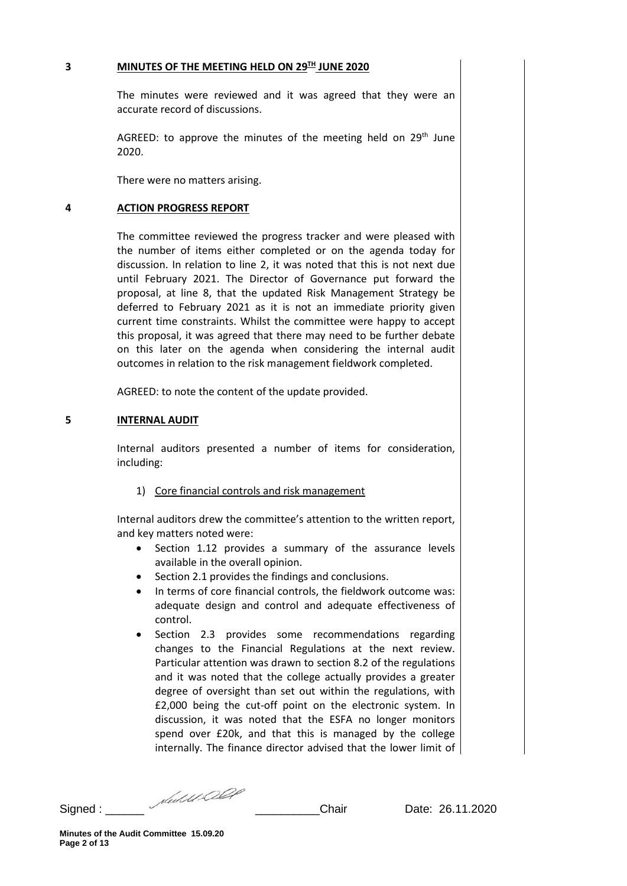#### **3 MINUTES OF THE MEETING HELD ON 29TH JUNE 2020**

The minutes were reviewed and it was agreed that they were an accurate record of discussions.

AGREED: to approve the minutes of the meeting held on  $29<sup>th</sup>$  June 2020.

There were no matters arising.

#### **4 ACTION PROGRESS REPORT**

The committee reviewed the progress tracker and were pleased with the number of items either completed or on the agenda today for discussion. In relation to line 2, it was noted that this is not next due until February 2021. The Director of Governance put forward the proposal, at line 8, that the updated Risk Management Strategy be deferred to February 2021 as it is not an immediate priority given current time constraints. Whilst the committee were happy to accept this proposal, it was agreed that there may need to be further debate on this later on the agenda when considering the internal audit outcomes in relation to the risk management fieldwork completed.

AGREED: to note the content of the update provided.

#### **5 INTERNAL AUDIT**

Internal auditors presented a number of items for consideration, including:

#### 1) Core financial controls and risk management

Internal auditors drew the committee's attention to the written report, and key matters noted were:

- Section 1.12 provides a summary of the assurance levels available in the overall opinion.
- Section 2.1 provides the findings and conclusions.
- In terms of core financial controls, the fieldwork outcome was: adequate design and control and adequate effectiveness of control.
- Section 2.3 provides some recommendations regarding changes to the Financial Regulations at the next review. Particular attention was drawn to section 8.2 of the regulations and it was noted that the college actually provides a greater degree of oversight than set out within the regulations, with £2,000 being the cut-off point on the electronic system. In discussion, it was noted that the ESFA no longer monitors spend over £20k, and that this is managed by the college internally. The finance director advised that the lower limit of

Signed : \_\_\_\_\_\_ \_\_\_\_\_\_\_\_\_\_Chair Date: 26.11.2020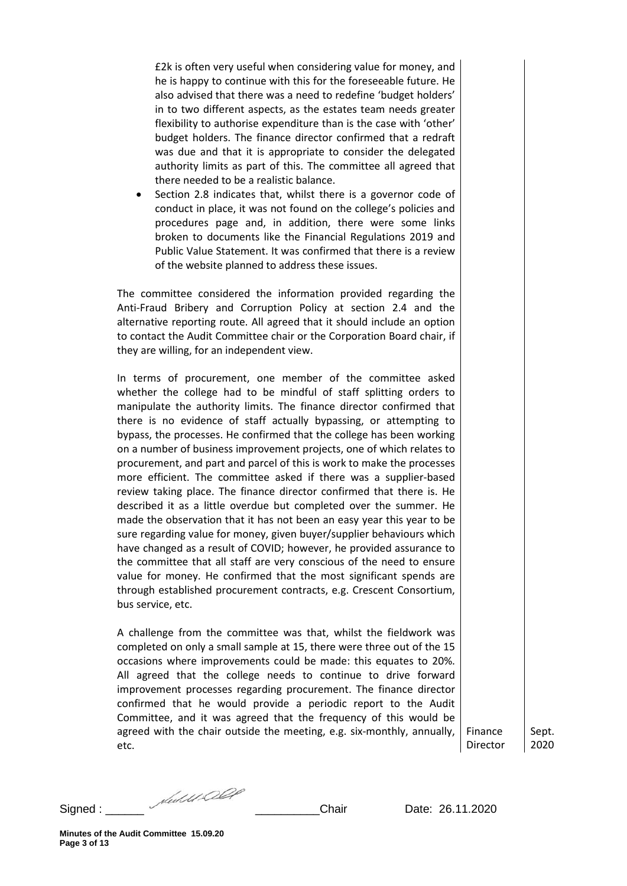£2k is often very useful when considering value for money, and he is happy to continue with this for the foreseeable future. He also advised that there was a need to redefine 'budget holders' in to two different aspects, as the estates team needs greater flexibility to authorise expenditure than is the case with 'other' budget holders. The finance director confirmed that a redraft was due and that it is appropriate to consider the delegated authority limits as part of this. The committee all agreed that there needed to be a realistic balance.

Section 2.8 indicates that, whilst there is a governor code of conduct in place, it was not found on the college's policies and procedures page and, in addition, there were some links broken to documents like the Financial Regulations 2019 and Public Value Statement. It was confirmed that there is a review of the website planned to address these issues.

The committee considered the information provided regarding the Anti-Fraud Bribery and Corruption Policy at section 2.4 and the alternative reporting route. All agreed that it should include an option to contact the Audit Committee chair or the Corporation Board chair, if they are willing, for an independent view.

In terms of procurement, one member of the committee asked whether the college had to be mindful of staff splitting orders to manipulate the authority limits. The finance director confirmed that there is no evidence of staff actually bypassing, or attempting to bypass, the processes. He confirmed that the college has been working on a number of business improvement projects, one of which relates to procurement, and part and parcel of this is work to make the processes more efficient. The committee asked if there was a supplier-based review taking place. The finance director confirmed that there is. He described it as a little overdue but completed over the summer. He made the observation that it has not been an easy year this year to be sure regarding value for money, given buyer/supplier behaviours which have changed as a result of COVID; however, he provided assurance to the committee that all staff are very conscious of the need to ensure value for money. He confirmed that the most significant spends are through established procurement contracts, e.g. Crescent Consortium, bus service, etc.

A challenge from the committee was that, whilst the fieldwork was completed on only a small sample at 15, there were three out of the 15 occasions where improvements could be made: this equates to 20%. All agreed that the college needs to continue to drive forward improvement processes regarding procurement. The finance director confirmed that he would provide a periodic report to the Audit Committee, and it was agreed that the frequency of this would be agreed with the chair outside the meeting, e.g. six-monthly, annually, etc.

Director Sept. 2020

Finance

Signed : \_\_\_\_\_\_ \_\_\_\_\_\_\_\_\_\_Chair Date: 26.11.2020

**Minutes of the Audit Committee 15.09.20 Page 3 of 13**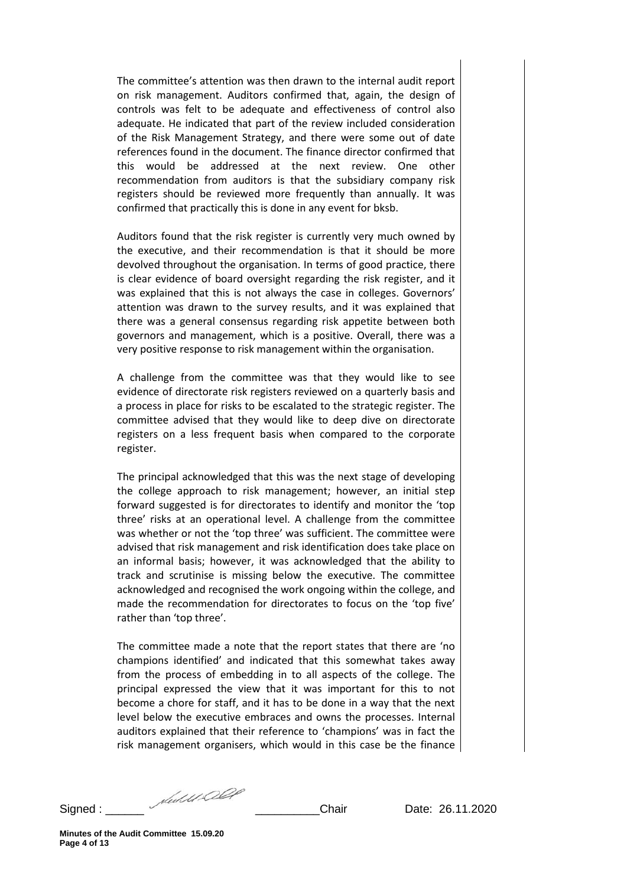The committee's attention was then drawn to the internal audit report on risk management. Auditors confirmed that, again, the design of controls was felt to be adequate and effectiveness of control also adequate. He indicated that part of the review included consideration of the Risk Management Strategy, and there were some out of date references found in the document. The finance director confirmed that this would be addressed at the next review. One other recommendation from auditors is that the subsidiary company risk registers should be reviewed more frequently than annually. It was confirmed that practically this is done in any event for bksb.

Auditors found that the risk register is currently very much owned by the executive, and their recommendation is that it should be more devolved throughout the organisation. In terms of good practice, there is clear evidence of board oversight regarding the risk register, and it was explained that this is not always the case in colleges. Governors' attention was drawn to the survey results, and it was explained that there was a general consensus regarding risk appetite between both governors and management, which is a positive. Overall, there was a very positive response to risk management within the organisation.

A challenge from the committee was that they would like to see evidence of directorate risk registers reviewed on a quarterly basis and a process in place for risks to be escalated to the strategic register. The committee advised that they would like to deep dive on directorate registers on a less frequent basis when compared to the corporate register.

The principal acknowledged that this was the next stage of developing the college approach to risk management; however, an initial step forward suggested is for directorates to identify and monitor the 'top three' risks at an operational level. A challenge from the committee was whether or not the 'top three' was sufficient. The committee were advised that risk management and risk identification does take place on an informal basis; however, it was acknowledged that the ability to track and scrutinise is missing below the executive. The committee acknowledged and recognised the work ongoing within the college, and made the recommendation for directorates to focus on the 'top five' rather than 'top three'.

The committee made a note that the report states that there are 'no champions identified' and indicated that this somewhat takes away from the process of embedding in to all aspects of the college. The principal expressed the view that it was important for this to not become a chore for staff, and it has to be done in a way that the next level below the executive embraces and owns the processes. Internal auditors explained that their reference to 'champions' was in fact the risk management organisers, which would in this case be the finance

Signed : \_\_\_\_\_\_ \_\_\_\_\_\_\_\_\_\_Chair Date: 26.11.2020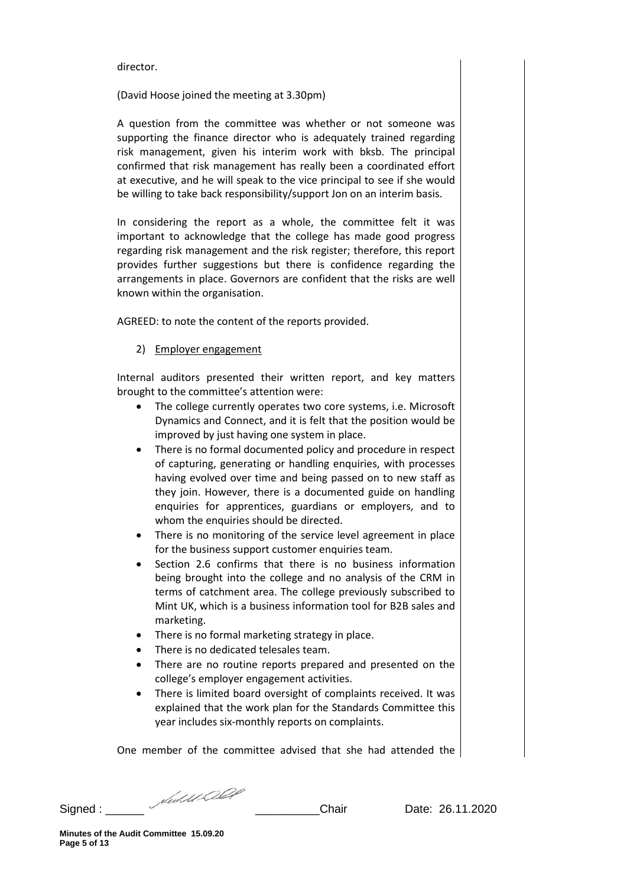#### director.

(David Hoose joined the meeting at 3.30pm)

A question from the committee was whether or not someone was supporting the finance director who is adequately trained regarding risk management, given his interim work with bksb. The principal confirmed that risk management has really been a coordinated effort at executive, and he will speak to the vice principal to see if she would be willing to take back responsibility/support Jon on an interim basis.

In considering the report as a whole, the committee felt it was important to acknowledge that the college has made good progress regarding risk management and the risk register; therefore, this report provides further suggestions but there is confidence regarding the arrangements in place. Governors are confident that the risks are well known within the organisation.

AGREED: to note the content of the reports provided.

#### 2) Employer engagement

Internal auditors presented their written report, and key matters brought to the committee's attention were:

- The college currently operates two core systems, i.e. Microsoft Dynamics and Connect, and it is felt that the position would be improved by just having one system in place.
- There is no formal documented policy and procedure in respect of capturing, generating or handling enquiries, with processes having evolved over time and being passed on to new staff as they join. However, there is a documented guide on handling enquiries for apprentices, guardians or employers, and to whom the enquiries should be directed.
- There is no monitoring of the service level agreement in place for the business support customer enquiries team.
- Section 2.6 confirms that there is no business information being brought into the college and no analysis of the CRM in terms of catchment area. The college previously subscribed to Mint UK, which is a business information tool for B2B sales and marketing.
- There is no formal marketing strategy in place.
- There is no dedicated telesales team.
- There are no routine reports prepared and presented on the college's employer engagement activities.
- There is limited board oversight of complaints received. It was explained that the work plan for the Standards Committee this year includes six-monthly reports on complaints.

One member of the committee advised that she had attended the

Signed : \_\_\_\_\_\_ \_\_\_\_\_\_\_\_\_\_Chair Date: 26.11.2020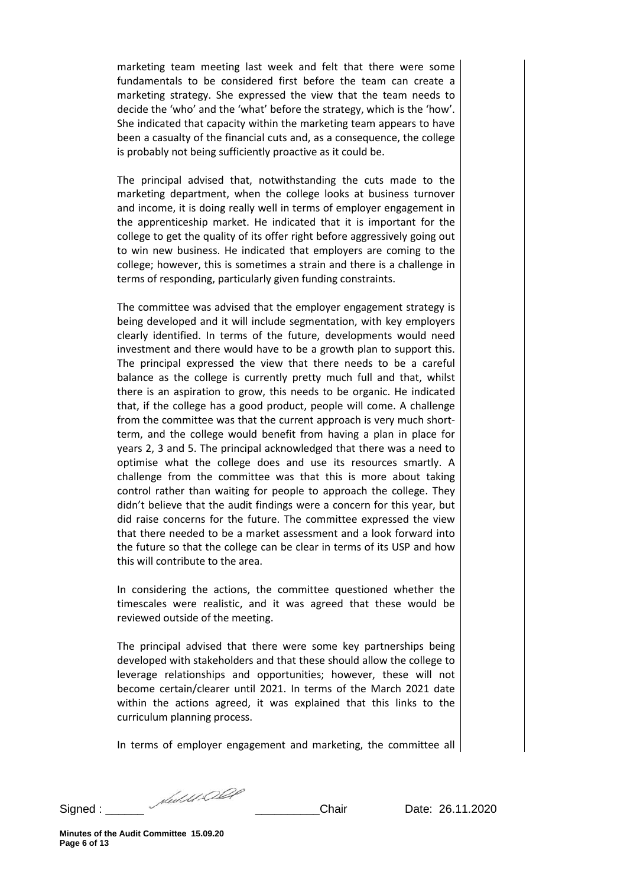marketing team meeting last week and felt that there were some fundamentals to be considered first before the team can create a marketing strategy. She expressed the view that the team needs to decide the 'who' and the 'what' before the strategy, which is the 'how'. She indicated that capacity within the marketing team appears to have been a casualty of the financial cuts and, as a consequence, the college is probably not being sufficiently proactive as it could be.

The principal advised that, notwithstanding the cuts made to the marketing department, when the college looks at business turnover and income, it is doing really well in terms of employer engagement in the apprenticeship market. He indicated that it is important for the college to get the quality of its offer right before aggressively going out to win new business. He indicated that employers are coming to the college; however, this is sometimes a strain and there is a challenge in terms of responding, particularly given funding constraints.

The committee was advised that the employer engagement strategy is being developed and it will include segmentation, with key employers clearly identified. In terms of the future, developments would need investment and there would have to be a growth plan to support this. The principal expressed the view that there needs to be a careful balance as the college is currently pretty much full and that, whilst there is an aspiration to grow, this needs to be organic. He indicated that, if the college has a good product, people will come. A challenge from the committee was that the current approach is very much shortterm, and the college would benefit from having a plan in place for years 2, 3 and 5. The principal acknowledged that there was a need to optimise what the college does and use its resources smartly. A challenge from the committee was that this is more about taking control rather than waiting for people to approach the college. They didn't believe that the audit findings were a concern for this year, but did raise concerns for the future. The committee expressed the view that there needed to be a market assessment and a look forward into the future so that the college can be clear in terms of its USP and how this will contribute to the area.

In considering the actions, the committee questioned whether the timescales were realistic, and it was agreed that these would be reviewed outside of the meeting.

The principal advised that there were some key partnerships being developed with stakeholders and that these should allow the college to leverage relationships and opportunities; however, these will not become certain/clearer until 2021. In terms of the March 2021 date within the actions agreed, it was explained that this links to the curriculum planning process.

In terms of employer engagement and marketing, the committee all

Signed : \_\_\_\_\_\_ \_\_\_\_\_\_\_\_\_\_Chair Date: 26.11.2020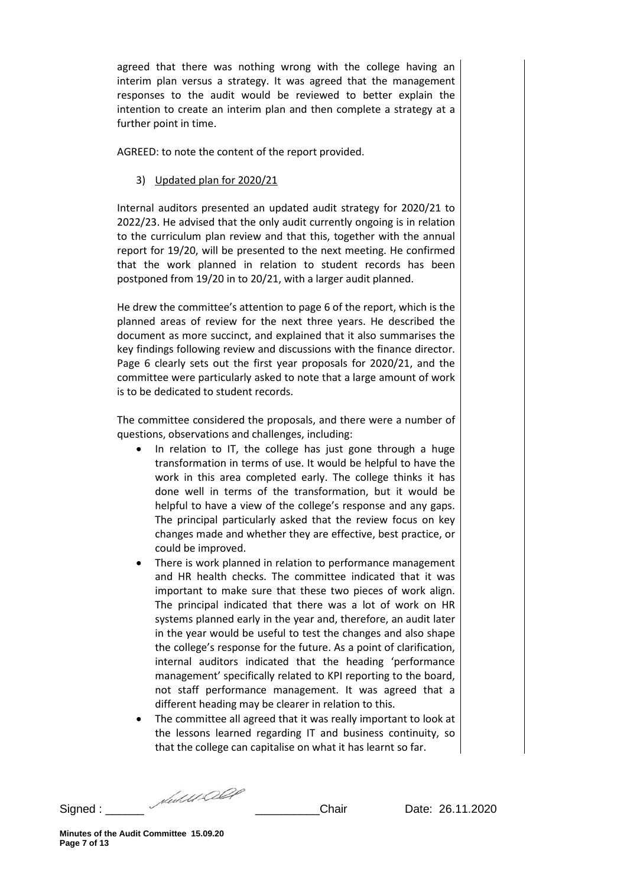agreed that there was nothing wrong with the college having an interim plan versus a strategy. It was agreed that the management responses to the audit would be reviewed to better explain the intention to create an interim plan and then complete a strategy at a further point in time.

AGREED: to note the content of the report provided.

3) Updated plan for 2020/21

Internal auditors presented an updated audit strategy for 2020/21 to 2022/23. He advised that the only audit currently ongoing is in relation to the curriculum plan review and that this, together with the annual report for 19/20, will be presented to the next meeting. He confirmed that the work planned in relation to student records has been postponed from 19/20 in to 20/21, with a larger audit planned.

He drew the committee's attention to page 6 of the report, which is the planned areas of review for the next three years. He described the document as more succinct, and explained that it also summarises the key findings following review and discussions with the finance director. Page 6 clearly sets out the first year proposals for 2020/21, and the committee were particularly asked to note that a large amount of work is to be dedicated to student records.

The committee considered the proposals, and there were a number of questions, observations and challenges, including:

- In relation to IT, the college has just gone through a huge transformation in terms of use. It would be helpful to have the work in this area completed early. The college thinks it has done well in terms of the transformation, but it would be helpful to have a view of the college's response and any gaps. The principal particularly asked that the review focus on key changes made and whether they are effective, best practice, or could be improved.
- There is work planned in relation to performance management and HR health checks. The committee indicated that it was important to make sure that these two pieces of work align. The principal indicated that there was a lot of work on HR systems planned early in the year and, therefore, an audit later in the year would be useful to test the changes and also shape the college's response for the future. As a point of clarification, internal auditors indicated that the heading 'performance management' specifically related to KPI reporting to the board, not staff performance management. It was agreed that a different heading may be clearer in relation to this.
- The committee all agreed that it was really important to look at the lessons learned regarding IT and business continuity, so that the college can capitalise on what it has learnt so far.

Signed : \_\_\_\_\_\_ \_\_\_\_\_\_\_\_\_\_Chair Date: 26.11.2020

**Minutes of the Audit Committee 15.09.20 Page 7 of 13**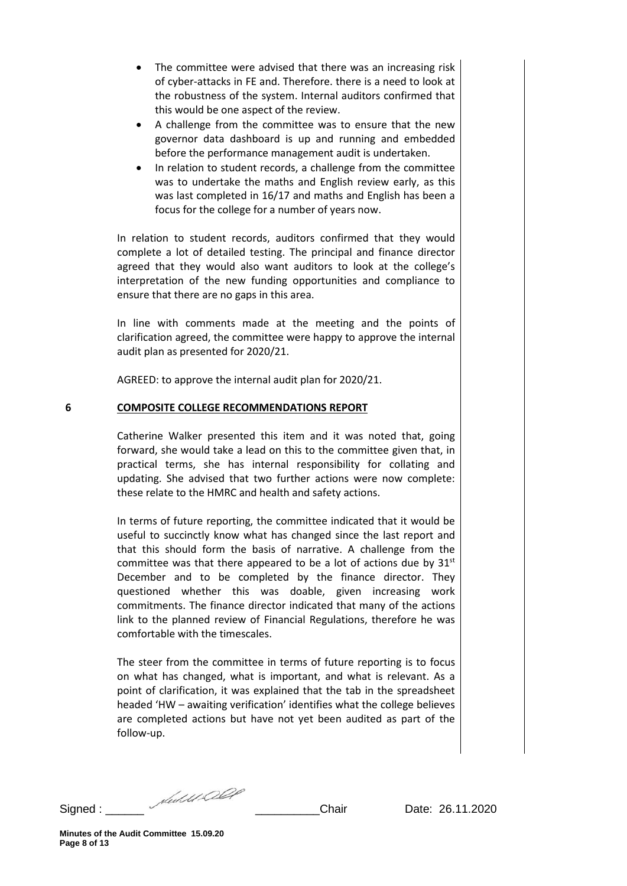- The committee were advised that there was an increasing risk of cyber-attacks in FE and. Therefore. there is a need to look at the robustness of the system. Internal auditors confirmed that this would be one aspect of the review.
- A challenge from the committee was to ensure that the new governor data dashboard is up and running and embedded before the performance management audit is undertaken.
- In relation to student records, a challenge from the committee was to undertake the maths and English review early, as this was last completed in 16/17 and maths and English has been a focus for the college for a number of years now.

In relation to student records, auditors confirmed that they would complete a lot of detailed testing. The principal and finance director agreed that they would also want auditors to look at the college's interpretation of the new funding opportunities and compliance to ensure that there are no gaps in this area.

In line with comments made at the meeting and the points of clarification agreed, the committee were happy to approve the internal audit plan as presented for 2020/21.

AGREED: to approve the internal audit plan for 2020/21.

#### **6 COMPOSITE COLLEGE RECOMMENDATIONS REPORT**

Catherine Walker presented this item and it was noted that, going forward, she would take a lead on this to the committee given that, in practical terms, she has internal responsibility for collating and updating. She advised that two further actions were now complete: these relate to the HMRC and health and safety actions.

In terms of future reporting, the committee indicated that it would be useful to succinctly know what has changed since the last report and that this should form the basis of narrative. A challenge from the committee was that there appeared to be a lot of actions due by  $31<sup>st</sup>$ December and to be completed by the finance director. They questioned whether this was doable, given increasing work commitments. The finance director indicated that many of the actions link to the planned review of Financial Regulations, therefore he was comfortable with the timescales.

The steer from the committee in terms of future reporting is to focus on what has changed, what is important, and what is relevant. As a point of clarification, it was explained that the tab in the spreadsheet headed 'HW – awaiting verification' identifies what the college believes are completed actions but have not yet been audited as part of the follow-up.

Signed : \_\_\_\_\_\_ \_\_\_\_\_\_\_\_\_\_Chair Date: 26.11.2020

**Minutes of the Audit Committee 15.09.20 Page 8 of 13**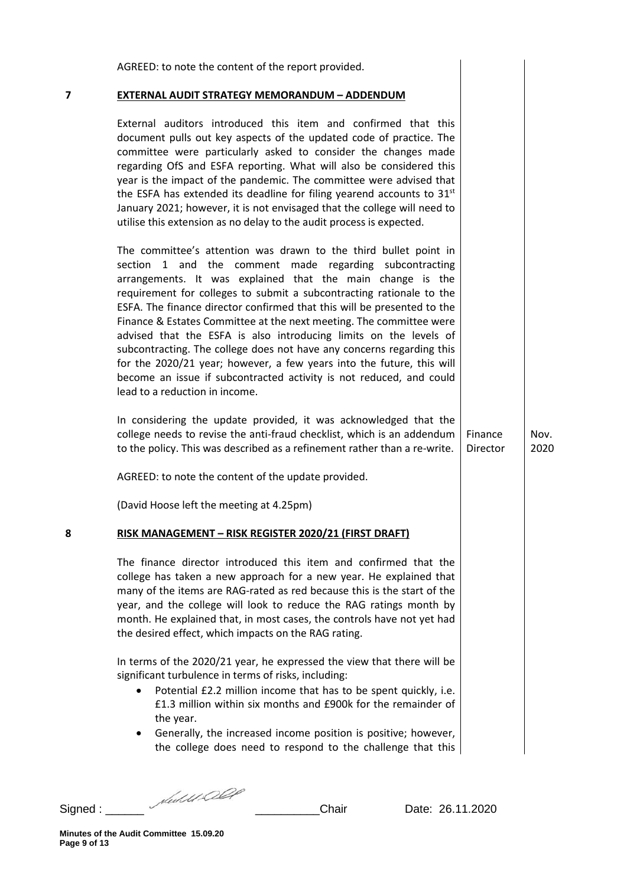|   | AGREED: to note the content of the report provided.                                                                                                                                                                                                                                                                                                                                                                                                                                                                                                                                                                                                                                                                                                                  |                     |              |
|---|----------------------------------------------------------------------------------------------------------------------------------------------------------------------------------------------------------------------------------------------------------------------------------------------------------------------------------------------------------------------------------------------------------------------------------------------------------------------------------------------------------------------------------------------------------------------------------------------------------------------------------------------------------------------------------------------------------------------------------------------------------------------|---------------------|--------------|
| 7 | <b>EXTERNAL AUDIT STRATEGY MEMORANDUM - ADDENDUM</b>                                                                                                                                                                                                                                                                                                                                                                                                                                                                                                                                                                                                                                                                                                                 |                     |              |
|   | External auditors introduced this item and confirmed that this<br>document pulls out key aspects of the updated code of practice. The<br>committee were particularly asked to consider the changes made<br>regarding OfS and ESFA reporting. What will also be considered this<br>year is the impact of the pandemic. The committee were advised that<br>the ESFA has extended its deadline for filing yearend accounts to 31 <sup>st</sup><br>January 2021; however, it is not envisaged that the college will need to<br>utilise this extension as no delay to the audit process is expected.                                                                                                                                                                      |                     |              |
|   | The committee's attention was drawn to the third bullet point in<br>and the<br>comment made regarding subcontracting<br>section<br>$1 \quad$<br>arrangements. It was explained that the main change is the<br>requirement for colleges to submit a subcontracting rationale to the<br>ESFA. The finance director confirmed that this will be presented to the<br>Finance & Estates Committee at the next meeting. The committee were<br>advised that the ESFA is also introducing limits on the levels of<br>subcontracting. The college does not have any concerns regarding this<br>for the 2020/21 year; however, a few years into the future, this will<br>become an issue if subcontracted activity is not reduced, and could<br>lead to a reduction in income. |                     |              |
|   | In considering the update provided, it was acknowledged that the<br>college needs to revise the anti-fraud checklist, which is an addendum<br>to the policy. This was described as a refinement rather than a re-write.                                                                                                                                                                                                                                                                                                                                                                                                                                                                                                                                              | Finance<br>Director | Nov.<br>2020 |
|   | AGREED: to note the content of the update provided.                                                                                                                                                                                                                                                                                                                                                                                                                                                                                                                                                                                                                                                                                                                  |                     |              |
|   | (David Hoose left the meeting at 4.25pm)                                                                                                                                                                                                                                                                                                                                                                                                                                                                                                                                                                                                                                                                                                                             |                     |              |
| 8 | RISK MANAGEMENT - RISK REGISTER 2020/21 (FIRST DRAFT)                                                                                                                                                                                                                                                                                                                                                                                                                                                                                                                                                                                                                                                                                                                |                     |              |
|   | The finance director introduced this item and confirmed that the<br>college has taken a new approach for a new year. He explained that<br>many of the items are RAG-rated as red because this is the start of the<br>year, and the college will look to reduce the RAG ratings month by<br>month. He explained that, in most cases, the controls have not yet had<br>the desired effect, which impacts on the RAG rating.                                                                                                                                                                                                                                                                                                                                            |                     |              |
|   | In terms of the 2020/21 year, he expressed the view that there will be<br>significant turbulence in terms of risks, including:<br>Potential £2.2 million income that has to be spent quickly, i.e.<br>£1.3 million within six months and £900k for the remainder of<br>the year.<br>Generally, the increased income position is positive; however,<br>$\bullet$<br>the college does need to respond to the challenge that this                                                                                                                                                                                                                                                                                                                                       |                     |              |

Signed : \_\_\_\_\_\_ \_\_\_\_\_\_\_\_\_\_Chair Date: 26.11.2020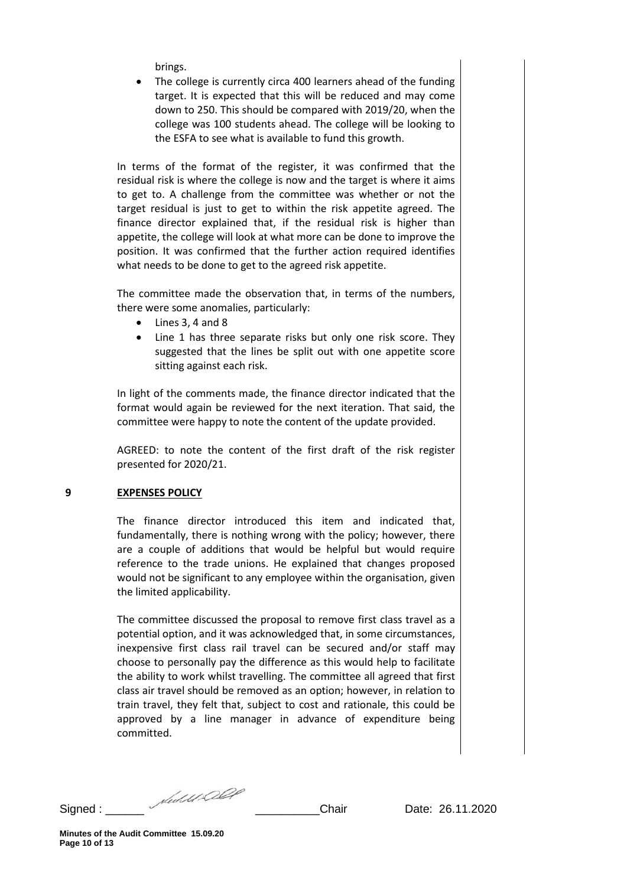brings.

The college is currently circa 400 learners ahead of the funding target. It is expected that this will be reduced and may come down to 250. This should be compared with 2019/20, when the college was 100 students ahead. The college will be looking to the ESFA to see what is available to fund this growth.

In terms of the format of the register, it was confirmed that the residual risk is where the college is now and the target is where it aims to get to. A challenge from the committee was whether or not the target residual is just to get to within the risk appetite agreed. The finance director explained that, if the residual risk is higher than appetite, the college will look at what more can be done to improve the position. It was confirmed that the further action required identifies what needs to be done to get to the agreed risk appetite.

The committee made the observation that, in terms of the numbers, there were some anomalies, particularly:

- Lines 3, 4 and 8
- Line 1 has three separate risks but only one risk score. They suggested that the lines be split out with one appetite score sitting against each risk.

In light of the comments made, the finance director indicated that the format would again be reviewed for the next iteration. That said, the committee were happy to note the content of the update provided.

AGREED: to note the content of the first draft of the risk register presented for 2020/21.

## **9 EXPENSES POLICY**

The finance director introduced this item and indicated that, fundamentally, there is nothing wrong with the policy; however, there are a couple of additions that would be helpful but would require reference to the trade unions. He explained that changes proposed would not be significant to any employee within the organisation, given the limited applicability.

The committee discussed the proposal to remove first class travel as a potential option, and it was acknowledged that, in some circumstances, inexpensive first class rail travel can be secured and/or staff may choose to personally pay the difference as this would help to facilitate the ability to work whilst travelling. The committee all agreed that first class air travel should be removed as an option; however, in relation to train travel, they felt that, subject to cost and rationale, this could be approved by a line manager in advance of expenditure being committed.

Signed : \_\_\_\_\_\_ \_\_\_\_\_\_\_\_\_\_Chair Date: 26.11.2020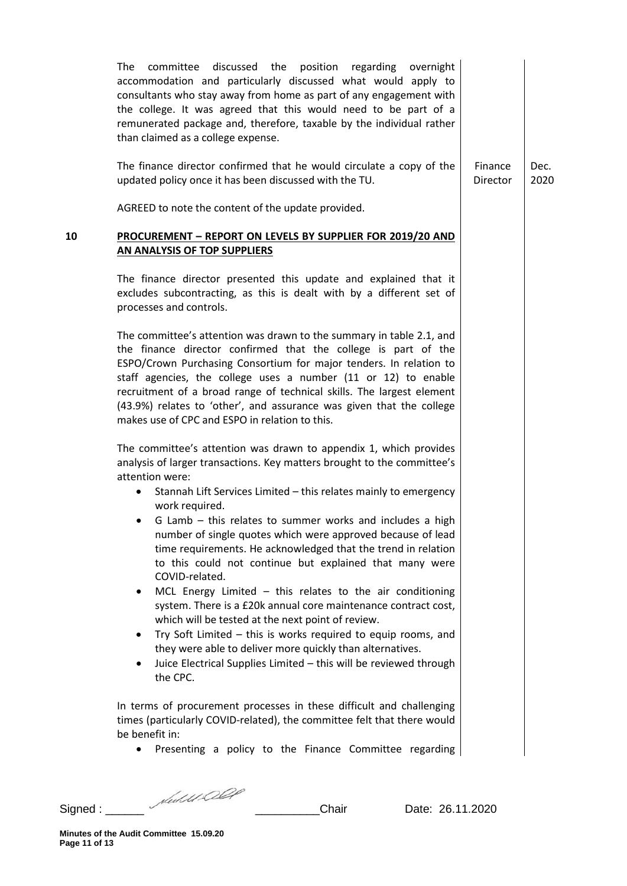|    | committee discussed the position regarding overnight<br>The<br>accommodation and particularly discussed what would apply to<br>consultants who stay away from home as part of any engagement with<br>the college. It was agreed that this would need to be part of a<br>remunerated package and, therefore, taxable by the individual rather<br>than claimed as a college expense.                                                                                                                                                                                                                                                                                                                                                                                                                                                                                                                                                                  |                     |              |
|----|-----------------------------------------------------------------------------------------------------------------------------------------------------------------------------------------------------------------------------------------------------------------------------------------------------------------------------------------------------------------------------------------------------------------------------------------------------------------------------------------------------------------------------------------------------------------------------------------------------------------------------------------------------------------------------------------------------------------------------------------------------------------------------------------------------------------------------------------------------------------------------------------------------------------------------------------------------|---------------------|--------------|
|    | The finance director confirmed that he would circulate a copy of the<br>updated policy once it has been discussed with the TU.                                                                                                                                                                                                                                                                                                                                                                                                                                                                                                                                                                                                                                                                                                                                                                                                                      | Finance<br>Director | Dec.<br>2020 |
|    | AGREED to note the content of the update provided.                                                                                                                                                                                                                                                                                                                                                                                                                                                                                                                                                                                                                                                                                                                                                                                                                                                                                                  |                     |              |
| 10 | PROCUREMENT - REPORT ON LEVELS BY SUPPLIER FOR 2019/20 AND<br>AN ANALYSIS OF TOP SUPPLIERS                                                                                                                                                                                                                                                                                                                                                                                                                                                                                                                                                                                                                                                                                                                                                                                                                                                          |                     |              |
|    | The finance director presented this update and explained that it<br>excludes subcontracting, as this is dealt with by a different set of<br>processes and controls.                                                                                                                                                                                                                                                                                                                                                                                                                                                                                                                                                                                                                                                                                                                                                                                 |                     |              |
|    | The committee's attention was drawn to the summary in table 2.1, and<br>the finance director confirmed that the college is part of the<br>ESPO/Crown Purchasing Consortium for major tenders. In relation to<br>staff agencies, the college uses a number (11 or 12) to enable<br>recruitment of a broad range of technical skills. The largest element<br>(43.9%) relates to 'other', and assurance was given that the college<br>makes use of CPC and ESPO in relation to this.                                                                                                                                                                                                                                                                                                                                                                                                                                                                   |                     |              |
|    | The committee's attention was drawn to appendix 1, which provides<br>analysis of larger transactions. Key matters brought to the committee's<br>attention were:<br>Stannah Lift Services Limited - this relates mainly to emergency<br>work required.<br>G Lamb - this relates to summer works and includes a high<br>number of single quotes which were approved because of lead<br>time requirements. He acknowledged that the trend in relation<br>to this could not continue but explained that many were<br>COVID-related.<br>MCL Energy Limited $-$ this relates to the air conditioning<br>٠<br>system. There is a £20k annual core maintenance contract cost,<br>which will be tested at the next point of review.<br>Try Soft Limited - this is works required to equip rooms, and<br>٠<br>they were able to deliver more quickly than alternatives.<br>Juice Electrical Supplies Limited - this will be reviewed through<br>٠<br>the CPC. |                     |              |
|    | In terms of procurement processes in these difficult and challenging<br>times (particularly COVID-related), the committee felt that there would<br>be benefit in:                                                                                                                                                                                                                                                                                                                                                                                                                                                                                                                                                                                                                                                                                                                                                                                   |                     |              |
|    | Presenting a policy to the Finance Committee regarding                                                                                                                                                                                                                                                                                                                                                                                                                                                                                                                                                                                                                                                                                                                                                                                                                                                                                              |                     |              |

Signed : \_\_\_\_\_\_ \_\_\_\_\_\_\_\_\_\_Chair Date: 26.11.2020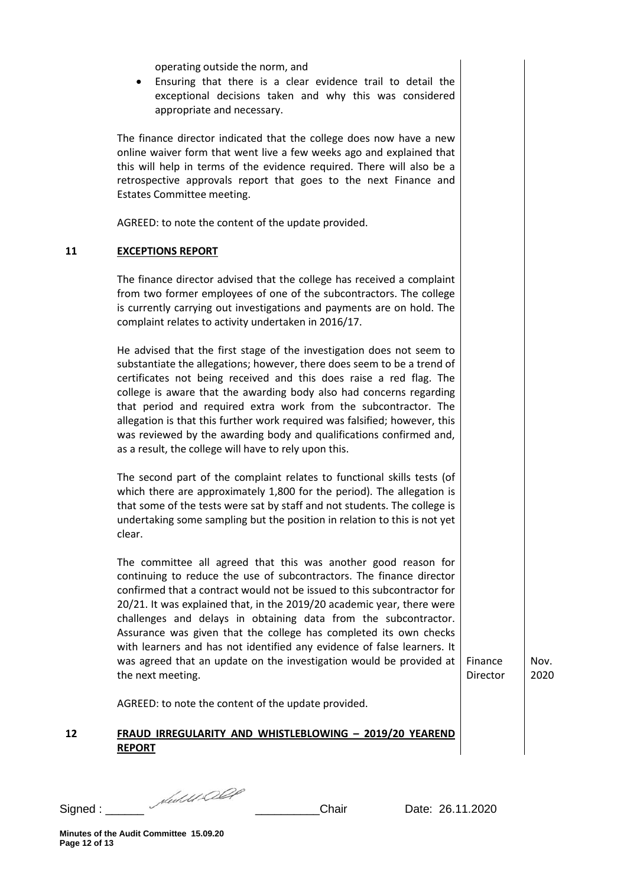| operating outside the norm, and<br>Ensuring that there is a clear evidence trail to detail the<br>exceptional decisions taken and why this was considered<br>appropriate and necessary.<br>The finance director indicated that the college does now have a new<br>online waiver form that went live a few weeks ago and explained that<br>this will help in terms of the evidence required. There will also be a<br>retrospective approvals report that goes to the next Finance and<br>Estates Committee meeting.<br>AGREED: to note the content of the update provided.<br><b>EXCEPTIONS REPORT</b><br>The finance director advised that the college has received a complaint<br>from two former employees of one of the subcontractors. The college<br>is currently carrying out investigations and payments are on hold. The<br>complaint relates to activity undertaken in 2016/17.<br>He advised that the first stage of the investigation does not seem to<br>substantiate the allegations; however, there does seem to be a trend of<br>certificates not being received and this does raise a red flag. The<br>college is aware that the awarding body also had concerns regarding<br>that period and required extra work from the subcontractor. The<br>allegation is that this further work required was falsified; however, this<br>was reviewed by the awarding body and qualifications confirmed and,<br>as a result, the college will have to rely upon this.<br>The second part of the complaint relates to functional skills tests (of<br>which there are approximately 1,800 for the period). The allegation is<br>that some of the tests were sat by staff and not students. The college is<br>undertaking some sampling but the position in relation to this is not yet<br>clear.<br>The committee all agreed that this was another good reason for<br>continuing to reduce the use of subcontractors. The finance director<br>confirmed that a contract would not be issued to this subcontractor for<br>20/21. It was explained that, in the 2019/20 academic year, there were<br>challenges and delays in obtaining data from the subcontractor.<br>Assurance was given that the college has completed its own checks<br>with learners and has not identified any evidence of false learners. It<br>was agreed that an update on the investigation would be provided at<br>Finance<br>Nov.<br>the next meeting.<br>Director<br>2020<br>AGREED: to note the content of the update provided.<br>FRAUD IRREGULARITY AND WHISTLEBLOWING - 2019/20 YEAREND<br><b>REPORT</b> |  |  |
|----------------------------------------------------------------------------------------------------------------------------------------------------------------------------------------------------------------------------------------------------------------------------------------------------------------------------------------------------------------------------------------------------------------------------------------------------------------------------------------------------------------------------------------------------------------------------------------------------------------------------------------------------------------------------------------------------------------------------------------------------------------------------------------------------------------------------------------------------------------------------------------------------------------------------------------------------------------------------------------------------------------------------------------------------------------------------------------------------------------------------------------------------------------------------------------------------------------------------------------------------------------------------------------------------------------------------------------------------------------------------------------------------------------------------------------------------------------------------------------------------------------------------------------------------------------------------------------------------------------------------------------------------------------------------------------------------------------------------------------------------------------------------------------------------------------------------------------------------------------------------------------------------------------------------------------------------------------------------------------------------------------------------------------------------------------------------------------------------------------------------------------------------------------------------------------------------------------------------------------------------------------------------------------------------------------------------------------------------------------------------------------------------------------------------------------------------------------------------------------------------------------------------------------------------------------------------------------------|--|--|
| 11<br>12                                                                                                                                                                                                                                                                                                                                                                                                                                                                                                                                                                                                                                                                                                                                                                                                                                                                                                                                                                                                                                                                                                                                                                                                                                                                                                                                                                                                                                                                                                                                                                                                                                                                                                                                                                                                                                                                                                                                                                                                                                                                                                                                                                                                                                                                                                                                                                                                                                                                                                                                                                                     |  |  |
|                                                                                                                                                                                                                                                                                                                                                                                                                                                                                                                                                                                                                                                                                                                                                                                                                                                                                                                                                                                                                                                                                                                                                                                                                                                                                                                                                                                                                                                                                                                                                                                                                                                                                                                                                                                                                                                                                                                                                                                                                                                                                                                                                                                                                                                                                                                                                                                                                                                                                                                                                                                              |  |  |
|                                                                                                                                                                                                                                                                                                                                                                                                                                                                                                                                                                                                                                                                                                                                                                                                                                                                                                                                                                                                                                                                                                                                                                                                                                                                                                                                                                                                                                                                                                                                                                                                                                                                                                                                                                                                                                                                                                                                                                                                                                                                                                                                                                                                                                                                                                                                                                                                                                                                                                                                                                                              |  |  |
|                                                                                                                                                                                                                                                                                                                                                                                                                                                                                                                                                                                                                                                                                                                                                                                                                                                                                                                                                                                                                                                                                                                                                                                                                                                                                                                                                                                                                                                                                                                                                                                                                                                                                                                                                                                                                                                                                                                                                                                                                                                                                                                                                                                                                                                                                                                                                                                                                                                                                                                                                                                              |  |  |
|                                                                                                                                                                                                                                                                                                                                                                                                                                                                                                                                                                                                                                                                                                                                                                                                                                                                                                                                                                                                                                                                                                                                                                                                                                                                                                                                                                                                                                                                                                                                                                                                                                                                                                                                                                                                                                                                                                                                                                                                                                                                                                                                                                                                                                                                                                                                                                                                                                                                                                                                                                                              |  |  |
|                                                                                                                                                                                                                                                                                                                                                                                                                                                                                                                                                                                                                                                                                                                                                                                                                                                                                                                                                                                                                                                                                                                                                                                                                                                                                                                                                                                                                                                                                                                                                                                                                                                                                                                                                                                                                                                                                                                                                                                                                                                                                                                                                                                                                                                                                                                                                                                                                                                                                                                                                                                              |  |  |
|                                                                                                                                                                                                                                                                                                                                                                                                                                                                                                                                                                                                                                                                                                                                                                                                                                                                                                                                                                                                                                                                                                                                                                                                                                                                                                                                                                                                                                                                                                                                                                                                                                                                                                                                                                                                                                                                                                                                                                                                                                                                                                                                                                                                                                                                                                                                                                                                                                                                                                                                                                                              |  |  |
|                                                                                                                                                                                                                                                                                                                                                                                                                                                                                                                                                                                                                                                                                                                                                                                                                                                                                                                                                                                                                                                                                                                                                                                                                                                                                                                                                                                                                                                                                                                                                                                                                                                                                                                                                                                                                                                                                                                                                                                                                                                                                                                                                                                                                                                                                                                                                                                                                                                                                                                                                                                              |  |  |
|                                                                                                                                                                                                                                                                                                                                                                                                                                                                                                                                                                                                                                                                                                                                                                                                                                                                                                                                                                                                                                                                                                                                                                                                                                                                                                                                                                                                                                                                                                                                                                                                                                                                                                                                                                                                                                                                                                                                                                                                                                                                                                                                                                                                                                                                                                                                                                                                                                                                                                                                                                                              |  |  |
|                                                                                                                                                                                                                                                                                                                                                                                                                                                                                                                                                                                                                                                                                                                                                                                                                                                                                                                                                                                                                                                                                                                                                                                                                                                                                                                                                                                                                                                                                                                                                                                                                                                                                                                                                                                                                                                                                                                                                                                                                                                                                                                                                                                                                                                                                                                                                                                                                                                                                                                                                                                              |  |  |

Signed : \_\_\_\_\_\_ \_\_\_\_\_\_\_\_\_\_Chair Date: 26.11.2020